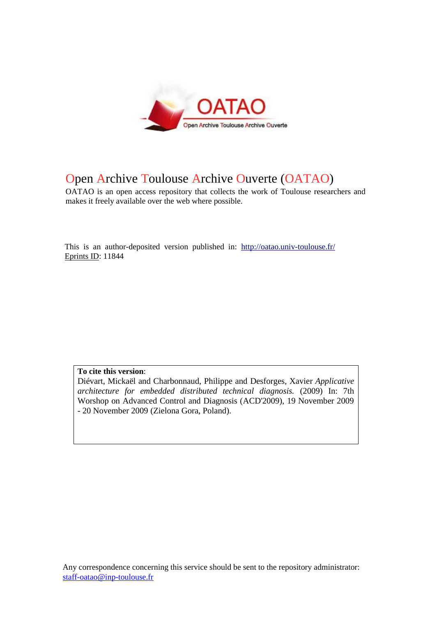

# Open Archive Toulouse Archive Ouverte (OATAO)

OATAO is an open access repository that collects the work of Toulouse researchers and makes it freely available over the web where possible.

This is an author-deposited version published in: <http://oatao.univ-toulouse.fr/> Eprints ID: 11844

**To cite this version**:

Diévart, Mickaël and Charbonnaud, Philippe and Desforges, Xavier *Applicative architecture for embedded distributed technical diagnosis.* (2009) In: 7th Worshop on Advanced Control and Diagnosis (ACD'2009), 19 November 2009 - 20 November 2009 (Zielona Gora, Poland).

Any correspondence concerning this service should be sent to the repository administrator: staff-oatao@inp-toulouse.fr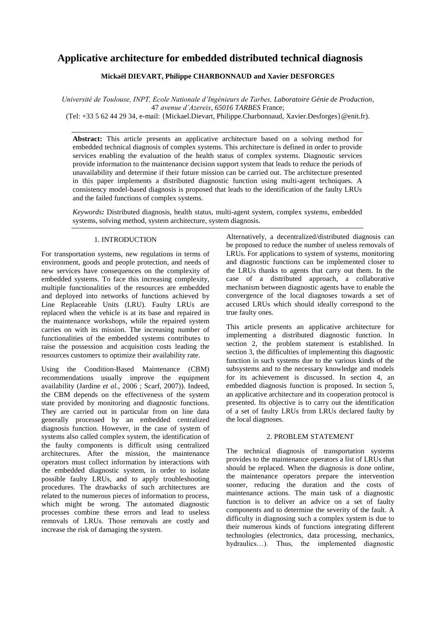# **Applicative architecture for embedded distributed technical diagnosis**

# **Mickaël DIEVART, Philippe CHARBONNAUD and Xavier DESFORGES**

*Université de Toulouse, INPT, Ecole Nationale d'Ingénieurs de Tarbes, Laboratoire Génie de Production*, 47 *avenue d'Azereix*, *65016 TARBES* France;

(Tel: +33 5 62 44 29 34, e-mail: {Mickael.Dievart, Philippe.Charbonnaud, Xavier.Desforges}@enit.fr).

**Abstract:** This article presents an applicative architecture based on a solving method for embedded technical diagnosis of complex systems. This architecture is defined in order to provide services enabling the evaluation of the health status of complex systems. Diagnostic services provide information to the maintenance decision support system that leads to reduce the periods of unavailability and determine if their future mission can be carried out. The architecture presented in this paper implements a distributed diagnostic function using multi-agent techniques. A consistency model-based diagnosis is proposed that leads to the identification of the faulty LRUs and the failed functions of complex systems.

*Keywords:* Distributed diagnosis, health status, multi-agent system, complex systems, embedded systems, solving method, system architecture, system diagnosis.

#### 1. INTRODUCTION

For transportation systems, new regulations in terms of environment, goods and people protection, and needs of new services have consequences on the complexity of embedded systems. To face this increasing complexity, multiple functionalities of the resources are embedded and deployed into networks of functions achieved by Line Replaceable Units (LRU). Faulty LRUs are replaced when the vehicle is at its base and repaired in the maintenance workshops, while the repaired system carries on with its mission. The increasing number of functionalities of the embedded systems contributes to raise the possession and acquisition costs leading the resources customers to optimize their availability rate.

Using the Condition-Based Maintenance (CBM) recommendations usually improve the equipment availability (Jardine *et al.*, 2006 ; Scarf, 2007)). Indeed, the CBM depends on the effectiveness of the system state provided by monitoring and diagnostic functions. They are carried out in particular from on line data generally processed by an embedded centralized diagnosis function. However, in the case of system of systems also called complex system, the identification of the faulty components is difficult using centralized architectures. After the mission, the maintenance operators must collect information by interactions with the embedded diagnostic system, in order to isolate possible faulty LRUs, and to apply troubleshooting procedures. The drawbacks of such architectures are related to the numerous pieces of information to process, which might be wrong. The automated diagnostic processes combine these errors and lead to useless removals of LRUs. Those removals are costly and increase the risk of damaging the system.

Alternatively, a decentralized/distributed diagnosis can be proposed to reduce the number of useless removals of LRUs. For applications to system of systems, monitoring and diagnostic functions can be implemented closer to the LRUs thanks to agents that carry out them. In the case of a distributed approach, a collaborative mechanism between diagnostic agents have to enable the convergence of the local diagnoses towards a set of accused LRUs which should ideally correspond to the true faulty ones.

This article presents an applicative architecture for implementing a distributed diagnostic function. In section 2, the problem statement is established. In section 3, the difficulties of implementing this diagnostic function in such systems due to the various kinds of the subsystems and to the necessary knowledge and models for its achievement is discussed. In section 4, an embedded diagnosis function is proposed. In section 5, an applicative architecture and its cooperation protocol is presented. Its objective is to carry out the identification of a set of faulty LRUs from LRUs declared faulty by the local diagnoses.

# 2. PROBLEM STATEMENT

The technical diagnosis of transportation systems provides to the maintenance operators a list of LRUs that should be replaced. When the diagnosis is done online, the maintenance operators prepare the intervention sooner, reducing the duration and the costs of maintenance actions. The main task of a diagnostic function is to deliver an advice on a set of faulty components and to determine the severity of the fault. A difficulty in diagnosing such a complex system is due to their numerous kinds of functions integrating different technologies (electronics, data processing, mechanics, hydraulics…). Thus, the implemented diagnostic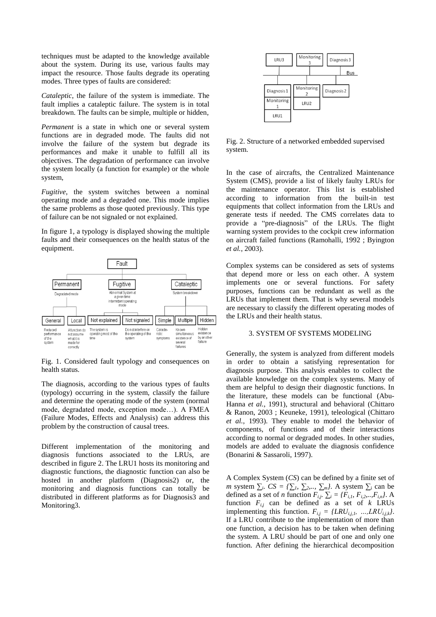techniques must be adapted to the knowledge available about the system. During its use, various faults may impact the resource. Those faults degrade its operating modes. Three types of faults are considered:

*Cataleptic*, the failure of the system is immediate. The fault implies a cataleptic failure. The system is in total breakdown. The faults can be simple, multiple or hidden,

*Permanent* is a state in which one or several system functions are in degraded mode. The faults did not involve the failure of the system but degrade its performances and make it unable to fulfill all its objectives. The degradation of performance can involve the system locally (a function for example) or the whole system,

*Fugitive*, the system switches between a nominal operating mode and a degraded one. This mode implies the same problems as those quoted previously. This type of failure can be not signaled or not explained.

In figure 1, a typology is displayed showing the multiple faults and their consequences on the health status of the equipment.



Fig. 1. Considered fault typology and consequences on health status.

The diagnosis, according to the various types of faults (typology) occurring in the system, classify the failure and determine the operating mode of the system (normal mode, degradated mode, exception mode…). A FMEA (Failure Modes, Effects and Analysis) can address this problem by the construction of causal trees.

Different implementation of the monitoring and diagnosis functions associated to the LRUs, are described in figure 2. The LRU1 hosts its monitoring and diagnostic functions, the diagnostic function can also be hosted in another platform (Diagnosis2) or, the monitoring and diagnosis functions can totally be distributed in different platforms as for Diagnosis3 and Monitoring3.



Fig. 2. Structure of a networked embedded supervised system.

In the case of aircrafts, the Centralized Maintenance System (CMS), provide a list of likely faulty LRUs for the maintenance operator. This list is established according to information from the built-in test equipments that collect information from the LRUs and generate tests if needed. The CMS correlates data to provide a "pre-diagnosis" of the LRUs. The flight warning system provides to the cockpit crew information on aircraft failed functions (Ramohalli, 1992 ; Byington *et al.*, 2003).

Complex systems can be considered as sets of systems that depend more or less on each other. A system implements one or several functions. For safety purposes, functions can be redundant as well as the LRUs that implement them. That is why several models are necessary to classify the different operating modes of the LRUs and their health status.

# 3. SYSTEM OF SYSTEMS MODELING

Generally, the system is analyzed from different models in order to obtain a satisfying representation for diagnosis purpose. This analysis enables to collect the available knowledge on the complex systems. Many of them are helpful to design their diagnostic functions. In the literature, these models can be functional (Abu-Hanna *et al.*, 1991), structural and behavioral (Chittaro & Ranon, 2003 ; Keuneke, 1991), teleological (Chittaro *et al.*, 1993). They enable to model the behavior of components, of functions and of their interactions according to normal or degraded modes. In other studies, models are added to evaluate the diagnosis confidence (Bonarini & Sassaroli, 1997).

A Complex System (*CS*) can be defined by a finite set of *m* system *∑<sup>i</sup>* . *CS = {∑1, ∑2,.., ∑m}*. A system ∑<sup>i</sup> can be defined as a set of *n* function  $F_{i,j}$ *.*  $\sum_i$  = { $F_{i,1}$ *,*  $F_{i,2}$ *,..,* $F_{i,n}$ *}*. A function  $F_{i,j}$  can be defined as a set of  $k$  LRUs implementing this function.  $F_{ij} = \{LRU_{i,j}, \dots, LRU_{i,k}\}.$ If a LRU contribute to the implementation of more than one function, a decision has to be taken when defining the system. A LRU should be part of one and only one function. After defining the hierarchical decomposition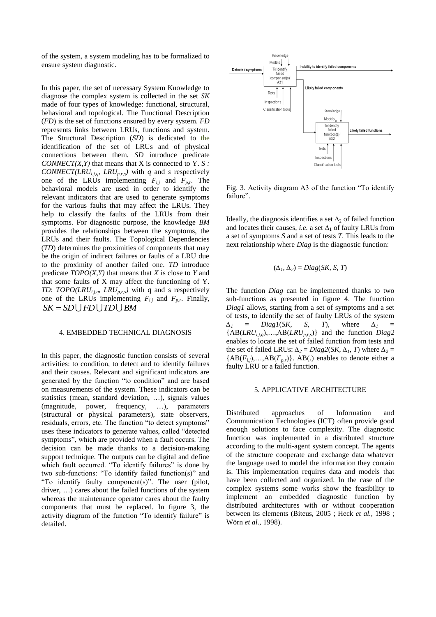of the system, a system modeling has to be formalized to ensure system diagnostic.

In this paper, the set of necessary System Knowledge to diagnose the complex system is collected in the set *SK* made of four types of knowledge: functional, structural, behavioral and topological. The Functional Description (*FD*) is the set of functions ensured by every system. *FD* represents links between LRUs, functions and system. The Structural Description (*SD*) is dedicated to the identification of the set of LRUs and of physical connections between them. *SD* introduce predicate *CONNECT(X,Y)* that means that X is connected to Y. *S : CONNECT(LRU*<sub>*i,j,q</sub>, LRU*<sub>*p,r,s*</sub>) with *q* and *s* respectively</sub> one of the LRUs implementing *Fi,j* and *Fp,r*. The behavioral models are used in order to identify the relevant indicators that are used to generate symptoms for the various faults that may affect the LRUs. They help to classify the faults of the LRUs from their symptoms. For diagnostic purpose, the knowledge *BM* provides the relationships between the symptoms, the LRUs and their faults. The Topological Dependencies (*TD*) determines the proximities of components that may be the origin of indirect failures or faults of a LRU due to the proximity of another failed one. *TD* introduce predicate *TOPO(X,Y)* that means that *X* is close to *Y* and that some faults of X may affect the functioning of Y. *TD*: *TOPO(LRUi,j,q, LRUp,r,s)* with q and s respectively one of the LRUs implementing  $F_{i,j}$  and  $F_{p,r}$ . Finally,  $SK = SD \cup FD \cup TD \cup BM$ 

#### 4. EMBEDDED TECHNICAL DIAGNOSIS

In this paper, the diagnostic function consists of several activities: to condition, to detect and to identify failures and their causes. Relevant and significant indicators are generated by the function "to condition" and are based on measurements of the system. These indicators can be statistics (mean, standard deviation, …), signals values (magnitude, power, frequency, …), parameters (structural or physical parameters), state observers, residuals, errors, etc. The function "to detect symptoms" uses these indicators to generate values, called "detected symptoms", which are provided when a fault occurs. The decision can be made thanks to a decision-making support technique. The outputs can be digital and define which fault occurred. "To identify failures" is done by two sub-functions: "To identify failed function(s)" and "To identify faulty component(s)". The user (pilot, driver, …) cares about the failed functions of the system whereas the maintenance operator cares about the faulty components that must be replaced. In figure 3, the activity diagram of the function "To identify failure" is detailed.



Fig. 3. Activity diagram A3 of the function "To identify failure".

Ideally, the diagnosis identifies a set  $\Delta_2$  of failed function and locates their causes, *i.e.* a set  $\Delta_1$  of faulty LRUs from a set of symptoms *S* and a set of tests *T*. This leads to the next relationship where *Diag* is the diagnostic function:

$$
(\Delta_1, \Delta_2) = Diag(SK, S, T)
$$

The function *Diag* can be implemented thanks to two sub-functions as presented in figure 4. The function *Diag1* allows, starting from a set of symptoms and a set of tests, to identify the set of faulty LRUs of the system *∆<sup>1</sup>* = *Diag1*(*SK, S, T*)*,* where *∆<sup>1</sup>* = {AB(*LRUi,j,q*),…,AB(*LRUp,r,s*)} and the function *Diag2* enables to locate the set of failed function from tests and the set of failed LRUs:  $\Delta_2 = Diag2(SK, \Delta_1, T)$  where  $\Delta_2 =$  ${AB(F_{i,j}), \ldots, AB(F_{p,r})}.$  AB(.) enables to denote either a faulty LRU or a failed function.

#### 5. APPLICATIVE ARCHITECTURE

Distributed approaches of Information and Communication Technologies (ICT) often provide good enough solutions to face complexity. The diagnostic function was implemented in a distributed structure according to the multi-agent system concept. The agents of the structure cooperate and exchange data whatever the language used to model the information they contain is. This implementation requires data and models that have been collected and organized. In the case of the complex systems some works show the feasibility to implement an embedded diagnostic function by distributed architectures with or without cooperation between its elements (Biteus, 2005 ; Heck *et al.*, 1998 ; Wörn *et al.*, 1998).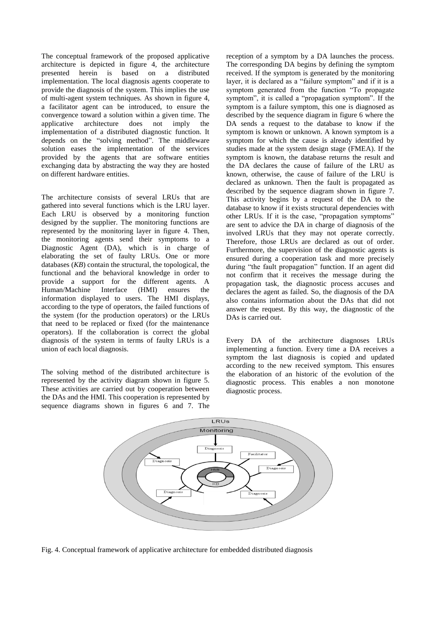The conceptual framework of the proposed applicative architecture is depicted in figure 4, the architecture presented herein is based on a distributed implementation. The local diagnosis agents cooperate to provide the diagnosis of the system. This implies the use of multi-agent system techniques. As shown in figure 4, a facilitator agent can be introduced, to ensure the convergence toward a solution within a given time. The applicative architecture does not imply the implementation of a distributed diagnostic function. It depends on the "solving method". The middleware solution eases the implementation of the services provided by the agents that are software entities exchanging data by abstracting the way they are hosted on different hardware entities.

The architecture consists of several LRUs that are gathered into several functions which is the LRU layer. Each LRU is observed by a monitoring function designed by the supplier. The monitoring functions are represented by the monitoring layer in figure 4. Then, the monitoring agents send their symptoms to a Diagnostic Agent (DA), which is in charge of elaborating the set of faulty LRUs. One or more databases (*KB*) contain the structural, the topological, the functional and the behavioral knowledge in order to provide a support for the different agents. A Human/Machine Interface (HMI) ensures the information displayed to users. The HMI displays, according to the type of operators, the failed functions of the system (for the production operators) or the LRUs that need to be replaced or fixed (for the maintenance operators). If the collaboration is correct the global diagnosis of the system in terms of faulty LRUs is a union of each local diagnosis.

The solving method of the distributed architecture is represented by the activity diagram shown in figure 5. These activities are carried out by cooperation between the DAs and the HMI. This cooperation is represented by sequence diagrams shown in figures 6 and 7. The

reception of a symptom by a DA launches the process. The corresponding DA begins by defining the symptom received. If the symptom is generated by the monitoring layer, it is declared as a "failure symptom" and if it is a symptom generated from the function "To propagate symptom", it is called a "propagation symptom". If the symptom is a failure symptom, this one is diagnosed as described by the sequence diagram in figure 6 where the DA sends a request to the database to know if the symptom is known or unknown. A known symptom is a symptom for which the cause is already identified by studies made at the system design stage (FMEA). If the symptom is known, the database returns the result and the DA declares the cause of failure of the LRU as known, otherwise, the cause of failure of the LRU is declared as unknown. Then the fault is propagated as described by the sequence diagram shown in figure 7. This activity begins by a request of the DA to the database to know if it exists structural dependencies with other LRUs. If it is the case, "propagation symptoms" are sent to advice the DA in charge of diagnosis of the involved LRUs that they may not operate correctly. Therefore, those LRUs are declared as out of order. Furthermore, the supervision of the diagnostic agents is ensured during a cooperation task and more precisely during "the fault propagation" function. If an agent did not confirm that it receives the message during the propagation task, the diagnostic process accuses and declares the agent as failed. So, the diagnosis of the DA also contains information about the DAs that did not answer the request. By this way, the diagnostic of the DAs is carried out.

Every DA of the architecture diagnoses LRUs implementing a function. Every time a DA receives a symptom the last diagnosis is copied and updated according to the new received symptom. This ensures the elaboration of an historic of the evolution of the diagnostic process. This enables a non monotone diagnostic process.



Fig. 4. Conceptual framework of applicative architecture for embedded distributed diagnosis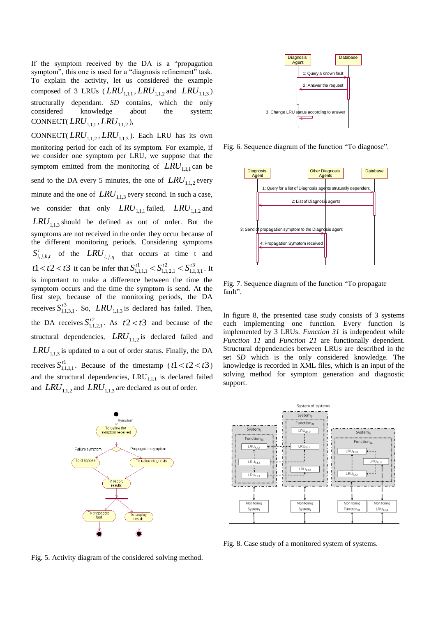If the symptom received by the DA is a "propagation symptom", this one is used for a "diagnosis refinement" task. To explain the activity, let us considered the example composed of 3 LRUs ( $LRU_{1,1,1}$ ,  $LRU_{1,1,2}$  and  $LRU_{1,1,3}$ ) structurally dependant. *SD* contains, which the only considered knowledge about the system: CONNECT(*LRU*<sub>1,1,1</sub>, *LRU*<sub>1,1,2</sub>),

CONNECT( $LRU_{1,1,2}$ ,  $LRU_{1,1,3}$ ). Each LRU has its own monitoring period for each of its symptom. For example, if we consider one symptom per LRU, we suppose that the symptom emitted from the monitoring of  $LRU_{1,1,1}$  can be send to the DA every 5 minutes, the one of  $LRU_{1,1,2}$  every minute and the one of  $LRU_{1,1,3}$  every second. In such a case, we consider that only  $LRU_{1,1,1}$  failed,  $LRU_{1,1,2}$  and  $LRU_{1,1,3}$  should be defined as out of order. But the symptoms are not received in the order they occur because of the different monitoring periods. Considering symptoms  $S^t_{i,j,k,t}$  of the  $LRU_{i,j,q}$  that occurs at time t and  $t1 < t2 < t3$  it can be infer that  $S_{1111}^{t1} < S_{1121}^{t2} < S_{11}^{t3}$ 1,1,3,1 2 1,1,2,1 1 1,1,1,1  $S_{1111}^{t1} < S_{1121}^{t2} < S_{1131}^{t3}$ . It is important to make a difference between the time the symptom occurs and the time the symptom is send. At the first step, because of the monitoring periods, the DA receives  $S_{1,1}^{t3}$ 1,1,3,1  $S_{1,1,3,1}^{t3}$ . So, *LRU*<sub>1,1,3</sub> is declared has failed. Then, the DA receives  $S_{11}^{t2}$ 1,1,2,1  $S_{1,1,2,1}^{t2}$ . As  $t2 < t3$  and because of the structural dependencies,  $LRU_{1,1,2}$  is declared failed and  $LRU_{1,1,3}$  is updated to a out of order status. Finally, the DA receives  $S_{1,1}^{t1}$ 1,1,1,1  $S_{1,1,1,1}^{t_1}$ . Because of the timestamp ( $t_1 < t_2 < t_3$ ) and the structural dependencies,  $LRU_{1,1,1}$  is declared failed and  $LRU_{1,1,2}$  and  $LRU_{1,1,3}$  are declared as out of order.



Fig. 5. Activity diagram of the considered solving method.



Fig. 6. Sequence diagram of the function "To diagnose".



Fig. 7. Sequence diagram of the function "To propagate fault".

In figure 8, the presented case study consists of 3 systems each implementing one function. Every function is implemented by 3 LRUs. *Function 31* is independent while *Function 11* and *Function 21* are functionally dependent. Structural dependencies between LRUs are described in the set *SD* which is the only considered knowledge*.* The knowledge is recorded in XML files, which is an input of the solving method for symptom generation and diagnostic support.



Fig. 8. Case study of a monitored system of systems.